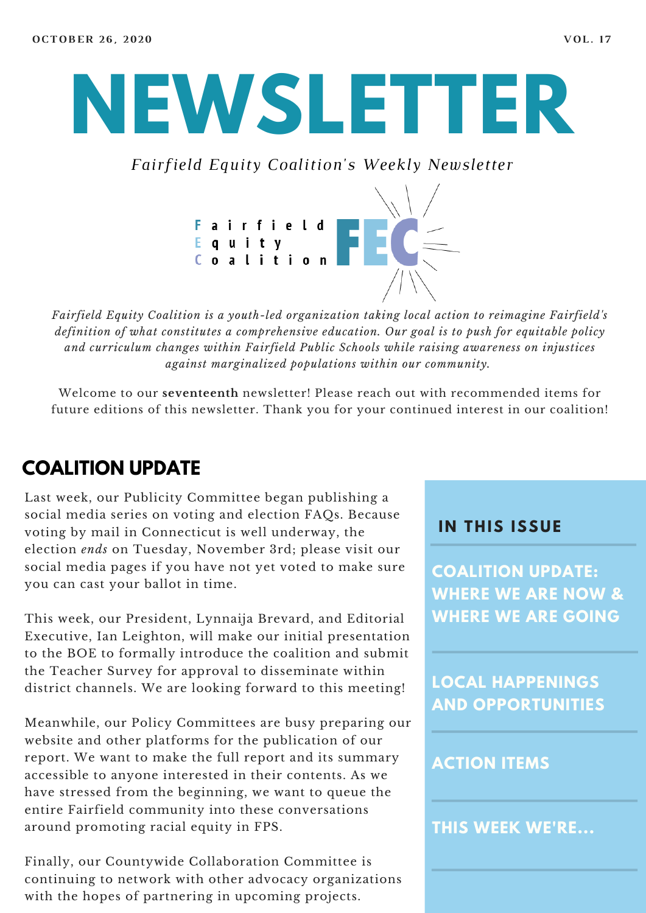# **NEWSLETTER**

*Fairfield Equity Coalition's Weekly Newsletter*



*Fairfield Equity Coalition is a youth-led organization taking local action to reimagine Fairfield's definition of what constitutes a comprehensive education. Our goal is to push for equitable policy and curriculum changes within Fairfield Public Schools while raising awareness on injustices against marginalized populations within our community.*

Welcome to our **seventeenth** newsletter! Please reach out with recommended items for future editions of this newsletter. Thank you for your continued interest in our coalition!

#### **COALITION UPDATE**

Last week, our Publicity Committee began publishing a social media series on voting and election FAQs. Because voting by mail in Connecticut is well underway, the election *ends* on Tuesday, November 3rd; please visit our social media pages if you have not yet voted to make sure you can cast your ballot in time.

This week, our President, Lynnaija Brevard, and Editorial Executive, Ian Leighton, will make our initial presentation to the BOE to formally introduce the coalition and submit the Teacher Survey for approval to disseminate within district channels. We are looking forward to this meeting!

Meanwhile, our Policy Committees are busy preparing our website and other platforms for the publication of our report. We want to make the full report and its summary accessible to anyone interested in their contents. As we have stressed from the beginning, we want to queue the entire Fairfield community into these conversations around promoting racial equity in FPS.

Finally, our Countywide Collaboration Committee is continuing to network with other advocacy organizations with the hopes of partnering in upcoming projects.

#### **I N THIS ISSUE**

**COALITION UPDATE: WHERE WE ARE NOW & WHERE WE ARE GOING**

**LOCAL HAPPENINGS AND OPPORTUNITIES**

#### **ACTION ITEMS**

**THIS WEEK WE'RE...**